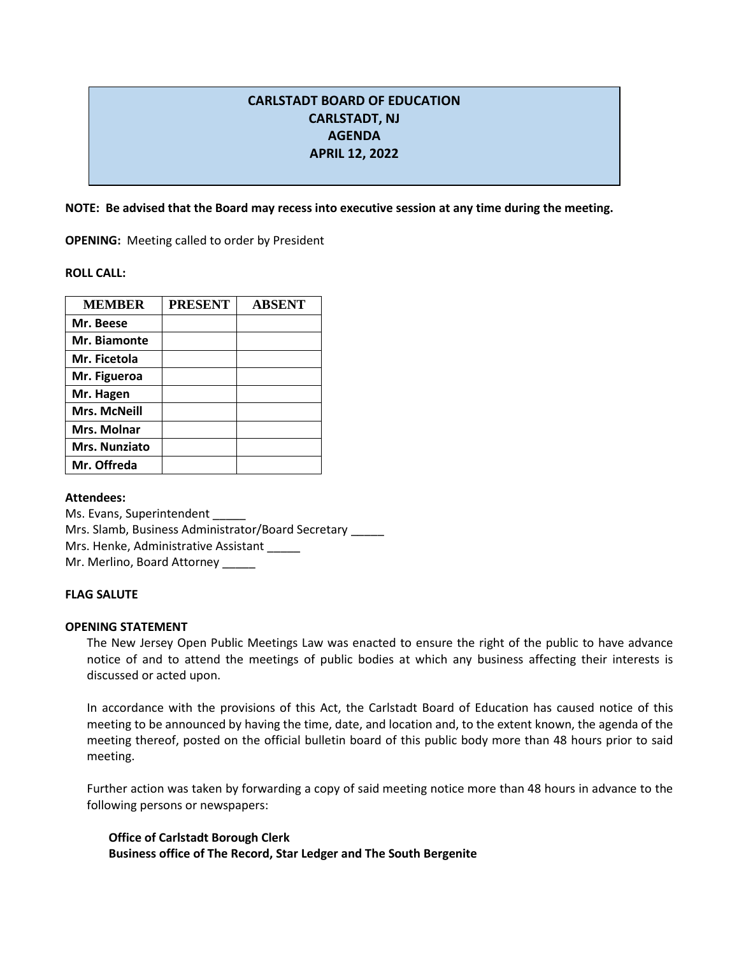# **CARLSTADT BOARD OF EDUCATION CARLSTADT, NJ AGENDA APRIL 12, 2022**

**NOTE: Be advised that the Board may recess into executive session at any time during the meeting.**

**OPENING:** Meeting called to order by President

**ROLL CALL:** 

| <b>MEMBER</b>        | <b>PRESENT</b> | <b>ABSENT</b> |
|----------------------|----------------|---------------|
| Mr. Beese            |                |               |
| Mr. Biamonte         |                |               |
| Mr. Ficetola         |                |               |
| Mr. Figueroa         |                |               |
| Mr. Hagen            |                |               |
| <b>Mrs. McNeill</b>  |                |               |
| Mrs. Molnar          |                |               |
| <b>Mrs. Nunziato</b> |                |               |
| Mr. Offreda          |                |               |

**Attendees:**

Ms. Evans, Superintendent \_\_\_\_\_ Mrs. Slamb, Business Administrator/Board Secretary \_\_\_\_\_ Mrs. Henke, Administrative Assistant Mr. Merlino, Board Attorney

# **FLAG SALUTE**

# **OPENING STATEMENT**

The New Jersey Open Public Meetings Law was enacted to ensure the right of the public to have advance notice of and to attend the meetings of public bodies at which any business affecting their interests is discussed or acted upon.

In accordance with the provisions of this Act, the Carlstadt Board of Education has caused notice of this meeting to be announced by having the time, date, and location and, to the extent known, the agenda of the meeting thereof, posted on the official bulletin board of this public body more than 48 hours prior to said meeting.

Further action was taken by forwarding a copy of said meeting notice more than 48 hours in advance to the following persons or newspapers:

**Office of Carlstadt Borough Clerk Business office of The Record, Star Ledger and The South Bergenite**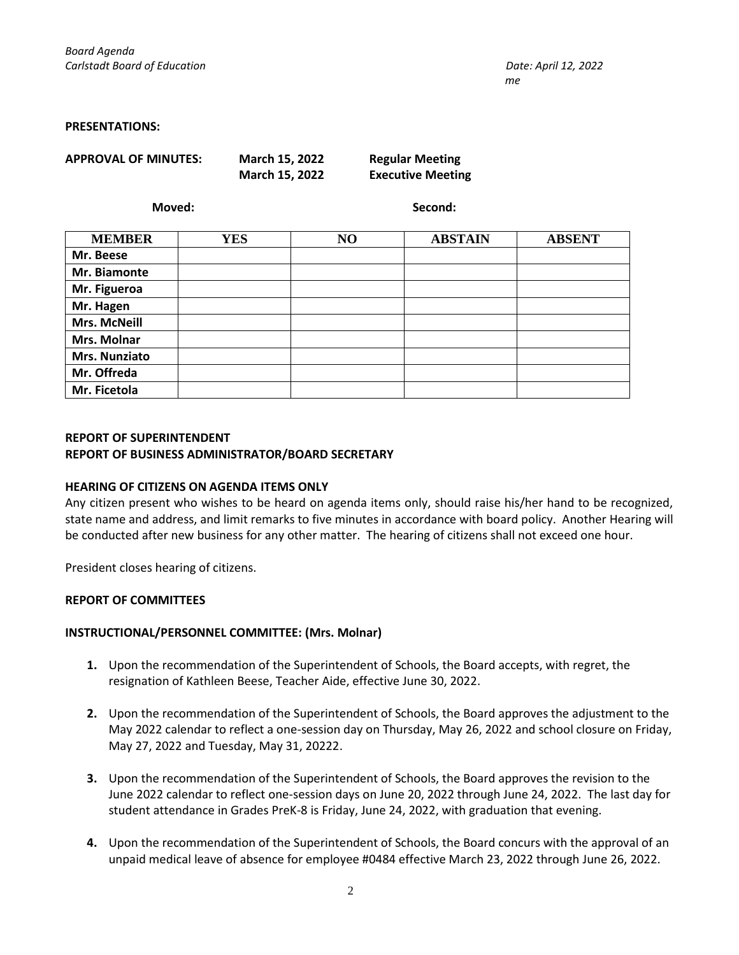#### **PRESENTATIONS:**

**APPROVAL OF MINUTES: March 15, 2022 Regular Meeting**

**March 15, 2022 Executive Meeting**

**Moved: Second:**

| <b>MEMBER</b>        | <b>YES</b> | N <sub>O</sub> | <b>ABSTAIN</b> | <b>ABSENT</b> |
|----------------------|------------|----------------|----------------|---------------|
| Mr. Beese            |            |                |                |               |
| Mr. Biamonte         |            |                |                |               |
| Mr. Figueroa         |            |                |                |               |
| Mr. Hagen            |            |                |                |               |
| <b>Mrs. McNeill</b>  |            |                |                |               |
| Mrs. Molnar          |            |                |                |               |
| <b>Mrs. Nunziato</b> |            |                |                |               |
| Mr. Offreda          |            |                |                |               |
| Mr. Ficetola         |            |                |                |               |

# **REPORT OF SUPERINTENDENT REPORT OF BUSINESS ADMINISTRATOR/BOARD SECRETARY**

### **HEARING OF CITIZENS ON AGENDA ITEMS ONLY**

Any citizen present who wishes to be heard on agenda items only, should raise his/her hand to be recognized, state name and address, and limit remarks to five minutes in accordance with board policy. Another Hearing will be conducted after new business for any other matter. The hearing of citizens shall not exceed one hour.

President closes hearing of citizens.

### **REPORT OF COMMITTEES**

### **INSTRUCTIONAL/PERSONNEL COMMITTEE: (Mrs. Molnar)**

- **1.** Upon the recommendation of the Superintendent of Schools, the Board accepts, with regret, the resignation of Kathleen Beese, Teacher Aide, effective June 30, 2022.
- **2.** Upon the recommendation of the Superintendent of Schools, the Board approves the adjustment to the May 2022 calendar to reflect a one-session day on Thursday, May 26, 2022 and school closure on Friday, May 27, 2022 and Tuesday, May 31, 20222.
- **3.** Upon the recommendation of the Superintendent of Schools, the Board approves the revision to the June 2022 calendar to reflect one-session days on June 20, 2022 through June 24, 2022. The last day for student attendance in Grades PreK-8 is Friday, June 24, 2022, with graduation that evening.
- **4.** Upon the recommendation of the Superintendent of Schools, the Board concurs with the approval of an unpaid medical leave of absence for employee #0484 effective March 23, 2022 through June 26, 2022.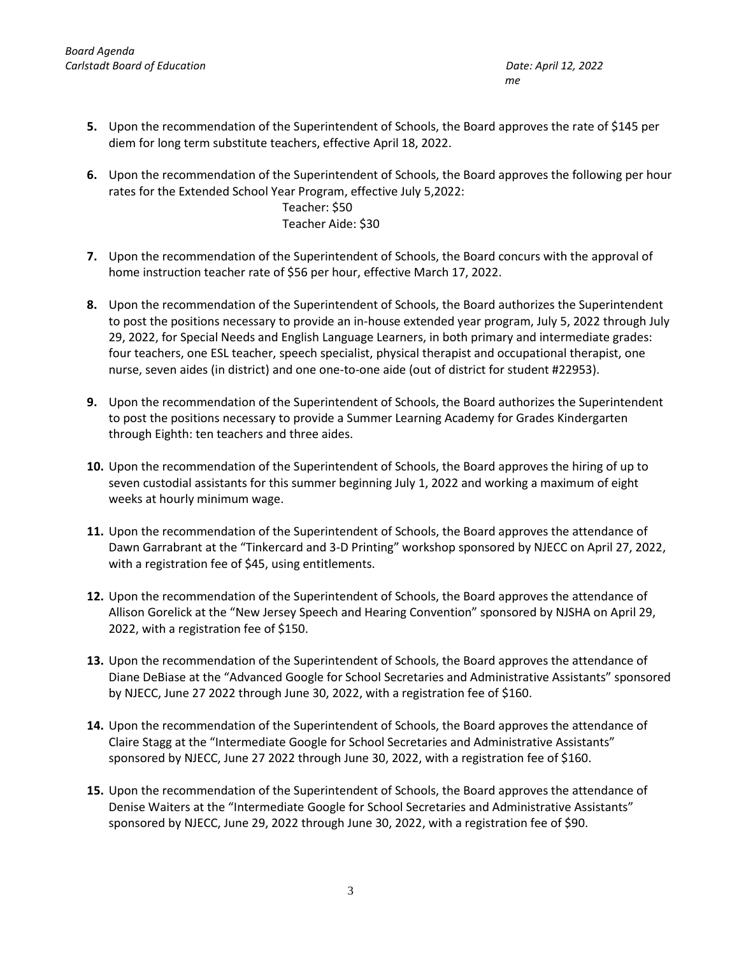- **5.** Upon the recommendation of the Superintendent of Schools, the Board approves the rate of \$145 per diem for long term substitute teachers, effective April 18, 2022.
- **6.** Upon the recommendation of the Superintendent of Schools, the Board approves the following per hour rates for the Extended School Year Program, effective July 5,2022:

Teacher: \$50 Teacher Aide: \$30

- **7.** Upon the recommendation of the Superintendent of Schools, the Board concurs with the approval of home instruction teacher rate of \$56 per hour, effective March 17, 2022.
- **8.** Upon the recommendation of the Superintendent of Schools, the Board authorizes the Superintendent to post the positions necessary to provide an in-house extended year program, July 5, 2022 through July 29, 2022, for Special Needs and English Language Learners, in both primary and intermediate grades: four teachers, one ESL teacher, speech specialist, physical therapist and occupational therapist, one nurse, seven aides (in district) and one one-to-one aide (out of district for student #22953).
- **9.** Upon the recommendation of the Superintendent of Schools, the Board authorizes the Superintendent to post the positions necessary to provide a Summer Learning Academy for Grades Kindergarten through Eighth: ten teachers and three aides.
- **10.** Upon the recommendation of the Superintendent of Schools, the Board approves the hiring of up to seven custodial assistants for this summer beginning July 1, 2022 and working a maximum of eight weeks at hourly minimum wage.
- **11.** Upon the recommendation of the Superintendent of Schools, the Board approves the attendance of Dawn Garrabrant at the "Tinkercard and 3-D Printing" workshop sponsored by NJECC on April 27, 2022, with a registration fee of \$45, using entitlements.
- **12.** Upon the recommendation of the Superintendent of Schools, the Board approves the attendance of Allison Gorelick at the "New Jersey Speech and Hearing Convention" sponsored by NJSHA on April 29, 2022, with a registration fee of \$150.
- **13.** Upon the recommendation of the Superintendent of Schools, the Board approves the attendance of Diane DeBiase at the "Advanced Google for School Secretaries and Administrative Assistants" sponsored by NJECC, June 27 2022 through June 30, 2022, with a registration fee of \$160.
- **14.** Upon the recommendation of the Superintendent of Schools, the Board approves the attendance of Claire Stagg at the "Intermediate Google for School Secretaries and Administrative Assistants" sponsored by NJECC, June 27 2022 through June 30, 2022, with a registration fee of \$160.
- **15.** Upon the recommendation of the Superintendent of Schools, the Board approves the attendance of Denise Waiters at the "Intermediate Google for School Secretaries and Administrative Assistants" sponsored by NJECC, June 29, 2022 through June 30, 2022, with a registration fee of \$90.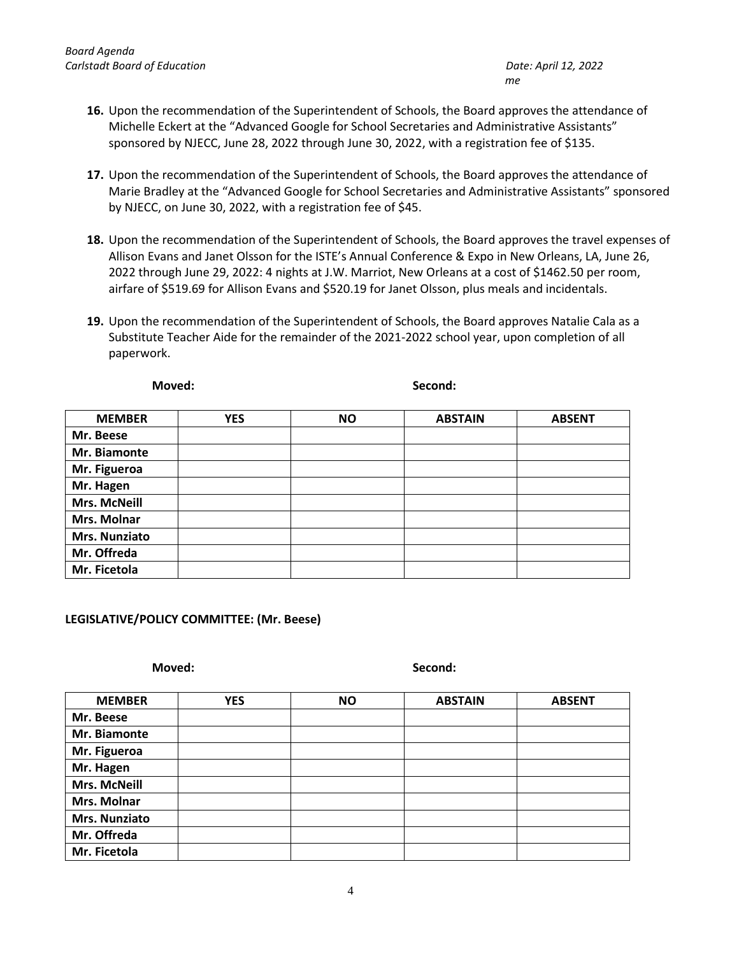- **16.** Upon the recommendation of the Superintendent of Schools, the Board approves the attendance of Michelle Eckert at the "Advanced Google for School Secretaries and Administrative Assistants" sponsored by NJECC, June 28, 2022 through June 30, 2022, with a registration fee of \$135.
- **17.** Upon the recommendation of the Superintendent of Schools, the Board approves the attendance of Marie Bradley at the "Advanced Google for School Secretaries and Administrative Assistants" sponsored by NJECC, on June 30, 2022, with a registration fee of \$45.
- **18.** Upon the recommendation of the Superintendent of Schools, the Board approves the travel expenses of Allison Evans and Janet Olsson for the ISTE's Annual Conference & Expo in New Orleans, LA, June 26, 2022 through June 29, 2022: 4 nights at J.W. Marriot, New Orleans at a cost of \$1462.50 per room, airfare of \$519.69 for Allison Evans and \$520.19 for Janet Olsson, plus meals and incidentals.
- **19.** Upon the recommendation of the Superintendent of Schools, the Board approves Natalie Cala as a Substitute Teacher Aide for the remainder of the 2021-2022 school year, upon completion of all paperwork.

**Moved: Second:**

| <b>MEMBER</b>        | <b>YES</b> | <b>NO</b> | <b>ABSTAIN</b> | <b>ABSENT</b> |
|----------------------|------------|-----------|----------------|---------------|
| Mr. Beese            |            |           |                |               |
| Mr. Biamonte         |            |           |                |               |
| Mr. Figueroa         |            |           |                |               |
| Mr. Hagen            |            |           |                |               |
| <b>Mrs. McNeill</b>  |            |           |                |               |
| Mrs. Molnar          |            |           |                |               |
| <b>Mrs. Nunziato</b> |            |           |                |               |
| Mr. Offreda          |            |           |                |               |
| Mr. Ficetola         |            |           |                |               |

# **LEGISLATIVE/POLICY COMMITTEE: (Mr. Beese)**

**Moved: Second:**

| <b>MEMBER</b> | <b>YES</b> | <b>NO</b> | <b>ABSTAIN</b> | <b>ABSENT</b> |
|---------------|------------|-----------|----------------|---------------|
|               |            |           |                |               |
| Mr. Beese     |            |           |                |               |
| Mr. Biamonte  |            |           |                |               |
| Mr. Figueroa  |            |           |                |               |
| Mr. Hagen     |            |           |                |               |
| Mrs. McNeill  |            |           |                |               |
| Mrs. Molnar   |            |           |                |               |
| Mrs. Nunziato |            |           |                |               |
| Mr. Offreda   |            |           |                |               |
| Mr. Ficetola  |            |           |                |               |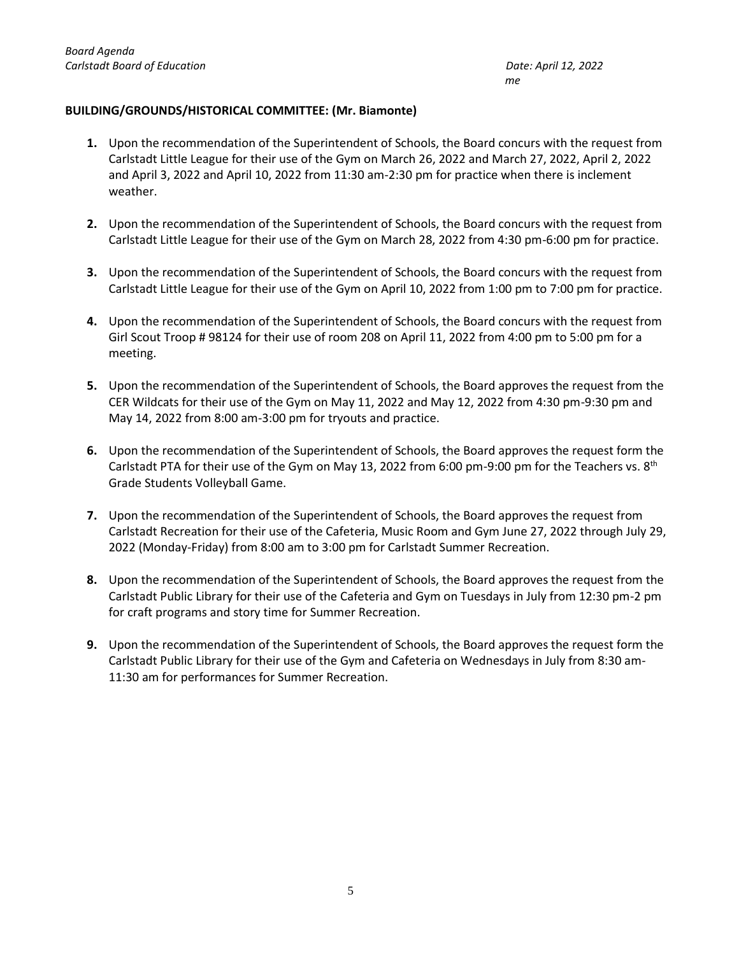# **BUILDING/GROUNDS/HISTORICAL COMMITTEE: (Mr. Biamonte)**

- **1.** Upon the recommendation of the Superintendent of Schools, the Board concurs with the request from Carlstadt Little League for their use of the Gym on March 26, 2022 and March 27, 2022, April 2, 2022 and April 3, 2022 and April 10, 2022 from 11:30 am-2:30 pm for practice when there is inclement weather.
- **2.** Upon the recommendation of the Superintendent of Schools, the Board concurs with the request from Carlstadt Little League for their use of the Gym on March 28, 2022 from 4:30 pm-6:00 pm for practice.
- **3.** Upon the recommendation of the Superintendent of Schools, the Board concurs with the request from Carlstadt Little League for their use of the Gym on April 10, 2022 from 1:00 pm to 7:00 pm for practice.
- **4.** Upon the recommendation of the Superintendent of Schools, the Board concurs with the request from Girl Scout Troop # 98124 for their use of room 208 on April 11, 2022 from 4:00 pm to 5:00 pm for a meeting.
- **5.** Upon the recommendation of the Superintendent of Schools, the Board approves the request from the CER Wildcats for their use of the Gym on May 11, 2022 and May 12, 2022 from 4:30 pm-9:30 pm and May 14, 2022 from 8:00 am-3:00 pm for tryouts and practice.
- **6.** Upon the recommendation of the Superintendent of Schools, the Board approves the request form the Carlstadt PTA for their use of the Gym on May 13, 2022 from 6:00 pm-9:00 pm for the Teachers vs.  $8<sup>th</sup>$ Grade Students Volleyball Game.
- **7.** Upon the recommendation of the Superintendent of Schools, the Board approves the request from Carlstadt Recreation for their use of the Cafeteria, Music Room and Gym June 27, 2022 through July 29, 2022 (Monday-Friday) from 8:00 am to 3:00 pm for Carlstadt Summer Recreation.
- **8.** Upon the recommendation of the Superintendent of Schools, the Board approves the request from the Carlstadt Public Library for their use of the Cafeteria and Gym on Tuesdays in July from 12:30 pm-2 pm for craft programs and story time for Summer Recreation.
- **9.** Upon the recommendation of the Superintendent of Schools, the Board approves the request form the Carlstadt Public Library for their use of the Gym and Cafeteria on Wednesdays in July from 8:30 am-11:30 am for performances for Summer Recreation.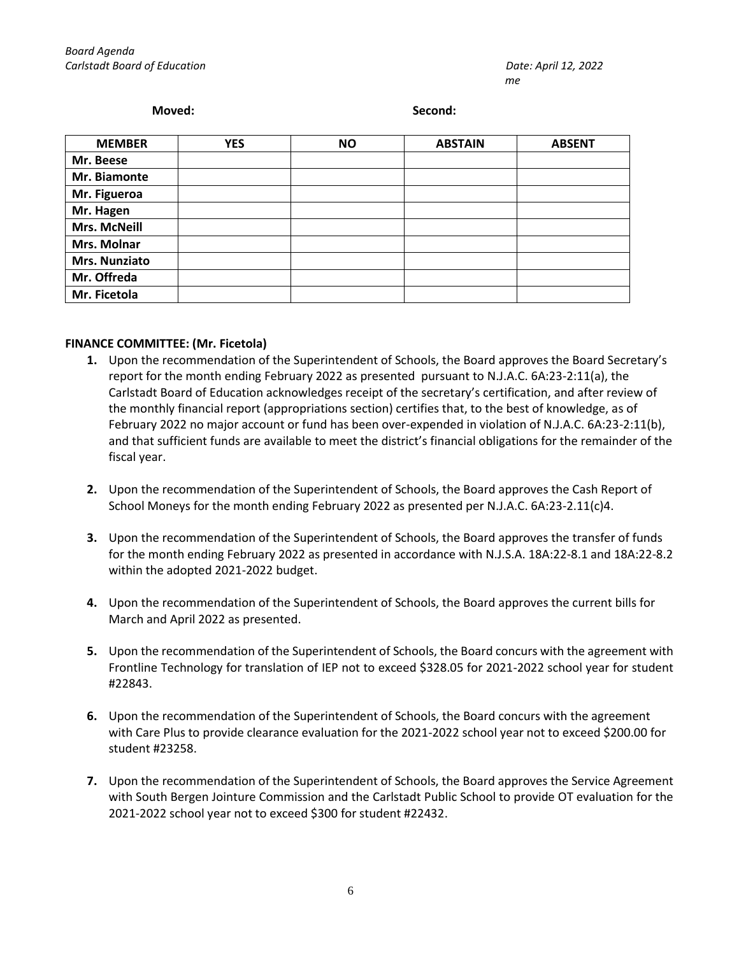#### **Moved: Second:**

| <b>MEMBER</b>       | <b>YES</b> | <b>NO</b> | <b>ABSTAIN</b> | <b>ABSENT</b> |
|---------------------|------------|-----------|----------------|---------------|
| Mr. Beese           |            |           |                |               |
| Mr. Biamonte        |            |           |                |               |
| Mr. Figueroa        |            |           |                |               |
| Mr. Hagen           |            |           |                |               |
| <b>Mrs. McNeill</b> |            |           |                |               |
| Mrs. Molnar         |            |           |                |               |
| Mrs. Nunziato       |            |           |                |               |
| Mr. Offreda         |            |           |                |               |
| Mr. Ficetola        |            |           |                |               |

# **FINANCE COMMITTEE: (Mr. Ficetola)**

- **1.** Upon the recommendation of the Superintendent of Schools, the Board approves the Board Secretary's report for the month ending February 2022 as presented pursuant to N.J.A.C. 6A:23-2:11(a), the Carlstadt Board of Education acknowledges receipt of the secretary's certification, and after review of the monthly financial report (appropriations section) certifies that, to the best of knowledge, as of February 2022 no major account or fund has been over-expended in violation of N.J.A.C. 6A:23-2:11(b), and that sufficient funds are available to meet the district's financial obligations for the remainder of the fiscal year.
- **2.** Upon the recommendation of the Superintendent of Schools, the Board approves the Cash Report of School Moneys for the month ending February 2022 as presented per N.J.A.C. 6A:23-2.11(c)4.
- **3.** Upon the recommendation of the Superintendent of Schools, the Board approves the transfer of funds for the month ending February 2022 as presented in accordance with N.J.S.A. 18A:22-8.1 and 18A:22-8.2 within the adopted 2021-2022 budget.
- **4.** Upon the recommendation of the Superintendent of Schools, the Board approves the current bills for March and April 2022 as presented.
- **5.** Upon the recommendation of the Superintendent of Schools, the Board concurs with the agreement with Frontline Technology for translation of IEP not to exceed \$328.05 for 2021-2022 school year for student #22843.
- **6.** Upon the recommendation of the Superintendent of Schools, the Board concurs with the agreement with Care Plus to provide clearance evaluation for the 2021-2022 school year not to exceed \$200.00 for student #23258.
- **7.** Upon the recommendation of the Superintendent of Schools, the Board approves the Service Agreement with South Bergen Jointure Commission and the Carlstadt Public School to provide OT evaluation for the 2021-2022 school year not to exceed \$300 for student #22432.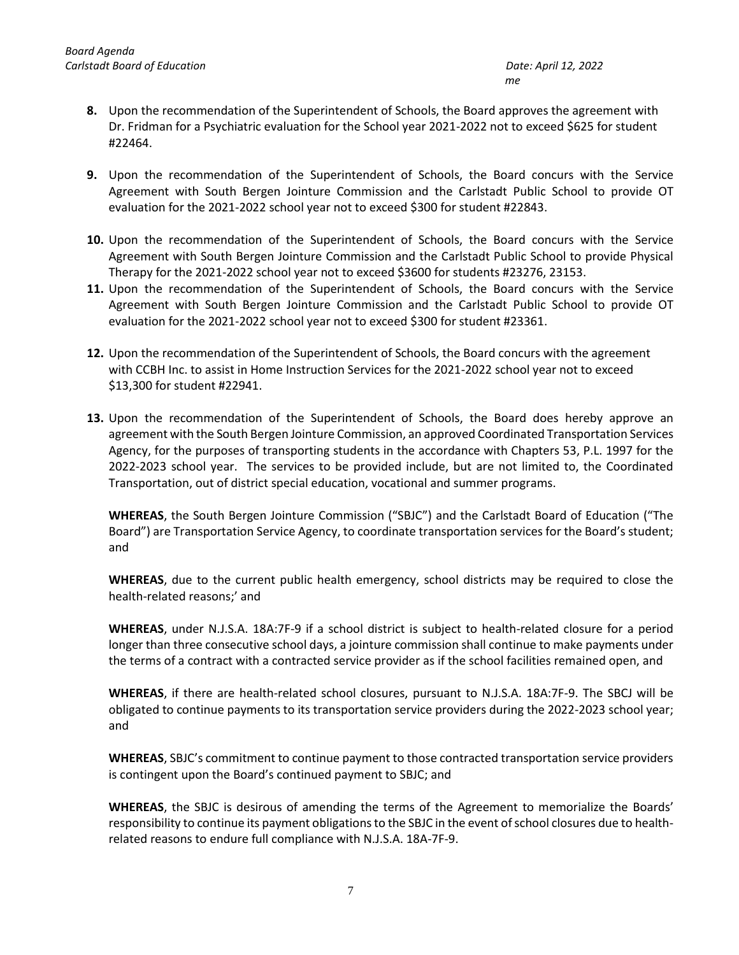- **8.** Upon the recommendation of the Superintendent of Schools, the Board approves the agreement with Dr. Fridman for a Psychiatric evaluation for the School year 2021-2022 not to exceed \$625 for student #22464.
- **9.** Upon the recommendation of the Superintendent of Schools, the Board concurs with the Service Agreement with South Bergen Jointure Commission and the Carlstadt Public School to provide OT evaluation for the 2021-2022 school year not to exceed \$300 for student #22843.
- **10.** Upon the recommendation of the Superintendent of Schools, the Board concurs with the Service Agreement with South Bergen Jointure Commission and the Carlstadt Public School to provide Physical Therapy for the 2021-2022 school year not to exceed \$3600 for students #23276, 23153.
- **11.** Upon the recommendation of the Superintendent of Schools, the Board concurs with the Service Agreement with South Bergen Jointure Commission and the Carlstadt Public School to provide OT evaluation for the 2021-2022 school year not to exceed \$300 for student #23361.
- **12.** Upon the recommendation of the Superintendent of Schools, the Board concurs with the agreement with CCBH Inc. to assist in Home Instruction Services for the 2021-2022 school year not to exceed \$13,300 for student #22941.
- **13.** Upon the recommendation of the Superintendent of Schools, the Board does hereby approve an agreement with the South Bergen Jointure Commission, an approved Coordinated Transportation Services Agency, for the purposes of transporting students in the accordance with Chapters 53, P.L. 1997 for the 2022-2023 school year. The services to be provided include, but are not limited to, the Coordinated Transportation, out of district special education, vocational and summer programs.

**WHEREAS**, the South Bergen Jointure Commission ("SBJC") and the Carlstadt Board of Education ("The Board") are Transportation Service Agency, to coordinate transportation services for the Board's student; and

**WHEREAS**, due to the current public health emergency, school districts may be required to close the health-related reasons;' and

**WHEREAS**, under N.J.S.A. 18A:7F-9 if a school district is subject to health-related closure for a period longer than three consecutive school days, a jointure commission shall continue to make payments under the terms of a contract with a contracted service provider as if the school facilities remained open, and

**WHEREAS**, if there are health-related school closures, pursuant to N.J.S.A. 18A:7F-9. The SBCJ will be obligated to continue payments to its transportation service providers during the 2022-2023 school year; and

**WHEREAS**, SBJC's commitment to continue payment to those contracted transportation service providers is contingent upon the Board's continued payment to SBJC; and

**WHEREAS**, the SBJC is desirous of amending the terms of the Agreement to memorialize the Boards' responsibility to continue its payment obligations to the SBJC in the event of school closures due to healthrelated reasons to endure full compliance with N.J.S.A. 18A-7F-9.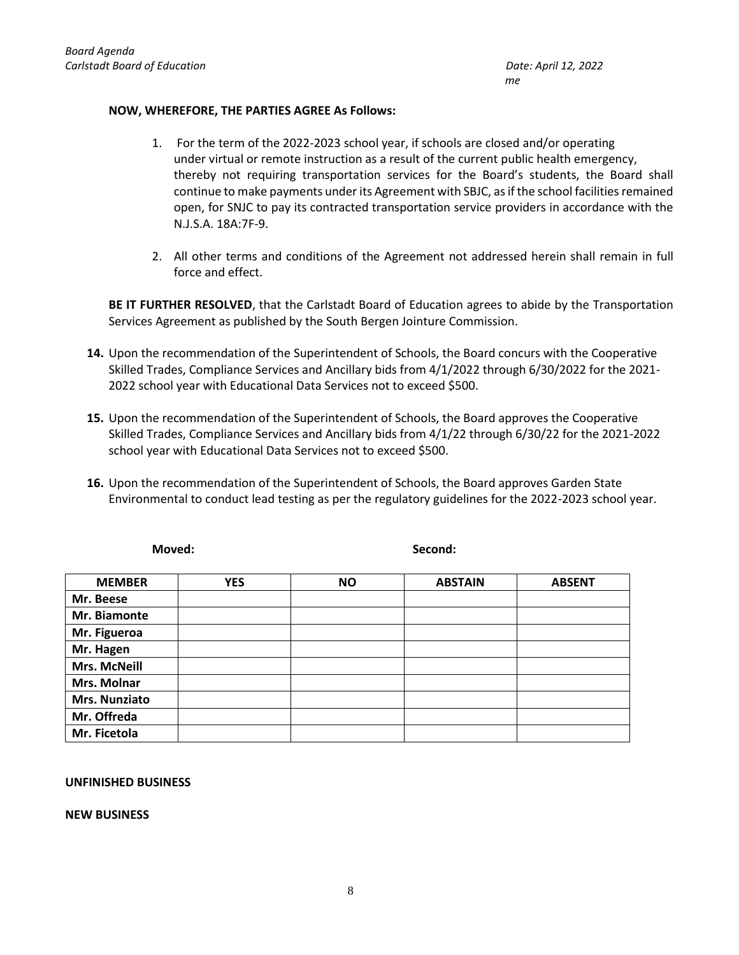# **NOW, WHEREFORE, THE PARTIES AGREE As Follows:**

- 1. For the term of the 2022-2023 school year, if schools are closed and/or operating under virtual or remote instruction as a result of the current public health emergency, thereby not requiring transportation services for the Board's students, the Board shall continue to make payments under its Agreement with SBJC, as if the school facilities remained open, for SNJC to pay its contracted transportation service providers in accordance with the N.J.S.A. 18A:7F-9.
- 2. All other terms and conditions of the Agreement not addressed herein shall remain in full force and effect.

**BE IT FURTHER RESOLVED**, that the Carlstadt Board of Education agrees to abide by the Transportation Services Agreement as published by the South Bergen Jointure Commission.

- **14.** Upon the recommendation of the Superintendent of Schools, the Board concurs with the Cooperative Skilled Trades, Compliance Services and Ancillary bids from 4/1/2022 through 6/30/2022 for the 2021- 2022 school year with Educational Data Services not to exceed \$500.
- **15.** Upon the recommendation of the Superintendent of Schools, the Board approves the Cooperative Skilled Trades, Compliance Services and Ancillary bids from 4/1/22 through 6/30/22 for the 2021-2022 school year with Educational Data Services not to exceed \$500.
- **16.** Upon the recommendation of the Superintendent of Schools, the Board approves Garden State Environmental to conduct lead testing as per the regulatory guidelines for the 2022-2023 school year.

| <b>MEMBER</b>       | <b>YES</b> | <b>NO</b> | <b>ABSTAIN</b> | <b>ABSENT</b> |
|---------------------|------------|-----------|----------------|---------------|
| Mr. Beese           |            |           |                |               |
| Mr. Biamonte        |            |           |                |               |
| Mr. Figueroa        |            |           |                |               |
| Mr. Hagen           |            |           |                |               |
| <b>Mrs. McNeill</b> |            |           |                |               |
| Mrs. Molnar         |            |           |                |               |
| Mrs. Nunziato       |            |           |                |               |
| Mr. Offreda         |            |           |                |               |
| Mr. Ficetola        |            |           |                |               |

**Moved: Second:**

### **UNFINISHED BUSINESS**

**NEW BUSINESS**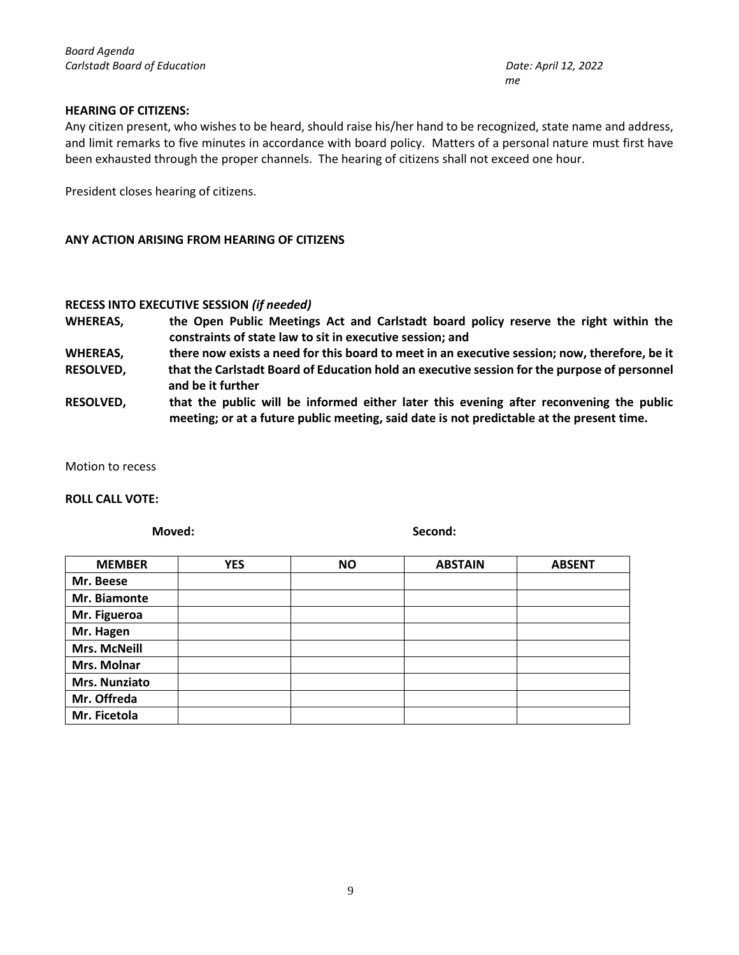### **HEARING OF CITIZENS:**

Any citizen present, who wishes to be heard, should raise his/her hand to be recognized, state name and address, and limit remarks to five minutes in accordance with board policy. Matters of a personal nature must first have been exhausted through the proper channels. The hearing of citizens shall not exceed one hour.

President closes hearing of citizens.

### **ANY ACTION ARISING FROM HEARING OF CITIZENS**

# **RECESS INTO EXECUTIVE SESSION** *(if needed)*

- **WHEREAS, the Open Public Meetings Act and Carlstadt board policy reserve the right within the constraints of state law to sit in executive session; and**
- **WHEREAS, there now exists a need for this board to meet in an executive session; now, therefore, be it**
- **RESOLVED, that the Carlstadt Board of Education hold an executive session for the purpose of personnel and be it further**
- **RESOLVED, that the public will be informed either later this evening after reconvening the public meeting; or at a future public meeting, said date is not predictable at the present time.**

Motion to recess

#### **ROLL CALL VOTE:**

**Moved: Second:**

| <b>MEMBER</b>       | <b>YES</b> | <b>NO</b> | <b>ABSTAIN</b> | <b>ABSENT</b> |
|---------------------|------------|-----------|----------------|---------------|
| Mr. Beese           |            |           |                |               |
| Mr. Biamonte        |            |           |                |               |
| Mr. Figueroa        |            |           |                |               |
| Mr. Hagen           |            |           |                |               |
| <b>Mrs. McNeill</b> |            |           |                |               |
| Mrs. Molnar         |            |           |                |               |
| Mrs. Nunziato       |            |           |                |               |
| Mr. Offreda         |            |           |                |               |
| Mr. Ficetola        |            |           |                |               |